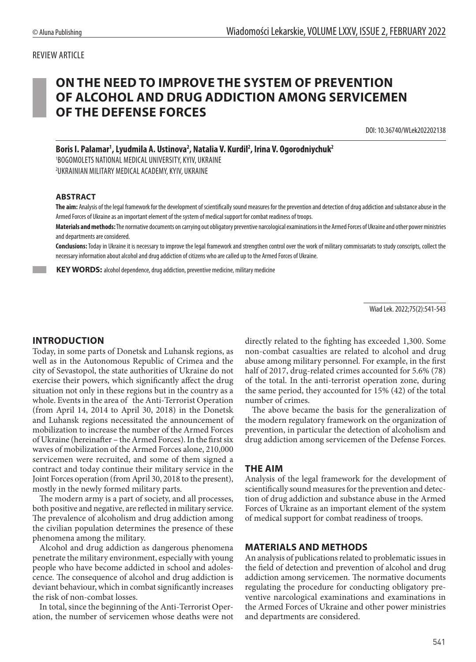#### REVIEW ARTICLE

# **ON THE NEED TO IMPROVE THE SYSTEM OF PREVENTION OF ALCOHOL AND DRUG ADDICTION AMONG SERVICEMEN OF THE DEFENSE FORCES**

DOI: 10.36740/WLek202202138

Boris I. Palamar<sup>1</sup>, Lyudmila A. Ustinova<sup>2</sup>, Natalia V. Kurdil<sup>2</sup>, Irina V. Ogorodniychuk<sup>2</sup>

1 BOGOMOLETS NATIONAL MEDICAL UNIVERSITY, KYIV, UKRAINE 2 UKRAINIAN MILITARY MEDICAL ACADEMY, KYIV, UKRAINE

#### **ABSTRACT**

**The aim:** Analysis of the legal framework for the development of scientifically sound measures for the prevention and detection of drug addiction and substance abuse in the Armed Forces of Ukraine as an important element of the system of medical support for combat readiness of troops.

**Materials and methods:** The normative documents on carrying out obligatory preventive narcological examinations in the Armed Forces of Ukraine and other power ministries and departments are considered.

**Conclusions:**Today in Ukraine it is necessary to improve the legal framework and strengthen control over the work of military commissariats to study conscripts, collect the necessary information about alcohol and drug addiction of citizens who are called up to the Armed Forces of Ukraine.

 **KEY WORDS:** alcohol dependence, drug addiction, preventive medicine, military medicine

Wiad Lek. 2022;75(2):541-543

## **INTRODUCTION**

Today, in some parts of Donetsk and Luhansk regions, as well as in the Autonomous Republic of Crimea and the city of Sevastopol, the state authorities of Ukraine do not exercise their powers, which significantly affect the drug situation not only in these regions but in the country as a whole. Events in the area of the Anti-Terrorist Operation (from April 14, 2014 to April 30, 2018) in the Donetsk and Luhansk regions necessitated the announcement of mobilization to increase the number of the Armed Forces of Ukraine (hereinafter – the Armed Forces). In the first six waves of mobilization of the Armed Forces alone, 210,000 servicemen were recruited, and some of them signed a contract and today continue their military service in the Joint Forces operation (from April 30, 2018 to the present), mostly in the newly formed military parts.

The modern army is a part of society, and all processes, both positive and negative, are reflected in military service. The prevalence of alcoholism and drug addiction among the civilian population determines the presence of these phenomena among the military.

Alcohol and drug addiction as dangerous phenomena penetrate the military environment, especially with young people who have become addicted in school and adolescence. The consequence of alcohol and drug addiction is deviant behaviour, which in combat significantly increases the risk of non-combat losses.

In total, since the beginning of the Anti-Terrorist Operation, the number of servicemen whose deaths were not directly related to the fighting has exceeded 1,300. Some non-combat casualties are related to alcohol and drug abuse among military personnel. For example, in the first half of 2017, drug-related crimes accounted for 5.6% (78) of the total. In the anti-terrorist operation zone, during the same period, they accounted for 15% (42) of the total number of crimes.

The above became the basis for the generalization of the modern regulatory framework on the organization of prevention, in particular the detection of alcoholism and drug addiction among servicemen of the Defense Forces.

## **THE AIM**

Analysis of the legal framework for the development of scientifically sound measures for the prevention and detection of drug addiction and substance abuse in the Armed Forces of Ukraine as an important element of the system of medical support for combat readiness of troops.

#### **MATERIALS AND METHODS**

An analysis of publications related to problematic issues in the field of detection and prevention of alcohol and drug addiction among servicemen. The normative documents regulating the procedure for conducting obligatory preventive narcological examinations and examinations in the Armed Forces of Ukraine and other power ministries and departments are considered.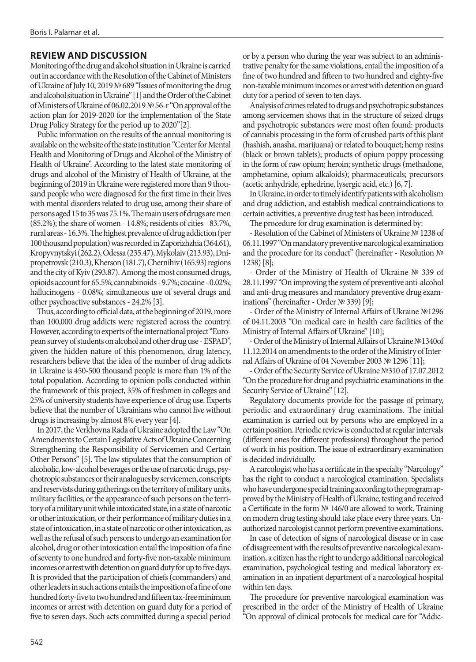### **REVIEW AND DISCUSSION**

Monitoring of the drug and alcohol situation in Ukraine is carried out in accordance with the Resolution of the Cabinet of Ministers of Ukraine of July 10, 2019 № 689 "Issues of monitoring the drug and alcohol situation in Ukraine" [1] and the Order of the Cabinet of Ministers of Ukraine of 06.02.2019 № 56-r "On approval of the action plan for 2019-2020 for the implementation of the State Drug Policy Strategy for the period up to 2020"[2].

Public information on the results of the annual monitoring is available on the website of the state institution "Center for Mental Health and Monitoring of Drugs and Alcohol of the Ministry of Health of Ukraine". According to the latest state monitoring of drugs and alcohol of the Ministry of Health of Ukraine, at the beginning of 2019 in Ukraine were registered more than 9 thousand people who were diagnosed for the first time in their lives with mental disorders related to drug use, among their share of persons aged 15 to 35 was 75.1%. The main users of drugs are men (85.2%); the share of women - 14.8%; residents of cities - 83.7%, rural areas - 16.3%. The highest prevalence of drug addiction (per 100 thousand population) was recorded in Zaporizhzhia (364.61), Kropyvnytskyi (262.2), Odessa (235.47), Mykolaiv (213.93), Dnipropetrovsk (210.3), Kherson (181.7), Chernihiv (165.93) regions and the city of Kyiv (293.87). Among the most consumed drugs, opioids account for 65.5%; cannabinoids - 9.7%; cocaine - 0.02%; hallucinogens - 0.08%; simultaneous use of several drugs and other psychoactive substances - 24.2% [3].

Thus, according to official data, at the beginning of 2019, more than 100,000 drug addicts were registered across the country. However, according to experts of the international project "European survey of students on alcohol and other drug use - ESPAD", given the hidden nature of this phenomenon, drug latency, researchers believe that the idea of the number of drug addicts in Ukraine is 450-500 thousand people is more than 1% of the total population. According to opinion polls conducted within the framework of this project, 35% of freshmen in colleges and 25% of university students have experience of drug use. Experts believe that the number of Ukrainians who cannot live without drugs is increasing by almost 8% every year [4].

In 2017, the Verkhovna Rada of Ukraine adopted the Law "On Amendments to Certain Legislative Acts of Ukraine Concerning Strengthening the Responsibility of Servicemen and Certain Other Persons" [5]. The law stipulates that the consumption of alcoholic, low-alcohol beverages or the use of narcotic drugs, psychotropic substances or their analogues by servicemen, conscripts and reservists during gatherings on the territory of military units, military facilities, or the appearance of such persons on the territory of a military unit while intoxicated state, in a state of narcotic or other intoxication, or their performance of military duties in a state of intoxication, in a state of narcotic or other intoxication, as well as the refusal of such persons to undergo an examination for alcohol, drug or other intoxication entail the imposition of a fine of seventy to one hundred and forty-five non-taxable minimum incomes or arrest with detention on guard duty for up to five days. It is provided that the participation of chiefs (commanders) and other leaders in such actions entails the imposition of a fine of one hundred forty-five to two hundred and fifteen tax-free minimum incomes or arrest with detention on guard duty for a period of five to seven days. Such acts committed during a special period

or by a person who during the year was subject to an administrative penalty for the same violations, entail the imposition of a fine of two hundred and fifteen to two hundred and eighty-five non-taxable minimum incomes or arrest with detention on guard duty for a period of seven to ten days.

Analysis of crimes related to drugs and psychotropic substances among servicemen shows that in the structure of seized drugs and psychotropic substances were most often found: products of cannabis processing in the form of crushed parts of this plant (hashish, anasha, marijuana) or related to bouquet; hemp resins (black or brown tablets); products of opium poppy processing in the form of raw opium; heroin; synthetic drugs (methadone, amphetamine, opium alkaloids); pharmaceuticals; precursors (acetic anhydride, ephedrine, lysergic acid, etc.) [6, 7].

In Ukraine, in order to timely identify patients with alcoholism and drug addiction, and establish medical contraindications to certain activities, a preventive drug test has been introduced.

The procedure for drug examination is determined by:

- Resolution of the Cabinet of Ministers of Ukraine № 1238 of 06.11.1997 "On mandatory preventive narcological examination and the procedure for its conduct" (hereinafter - Resolution № 1238) [8];

- Order of the Ministry of Health of Ukraine № 339 of 28.11.1997 "On improving the system of preventive anti-alcohol and anti-drug measures and mandatory preventive drug examinations" (hereinafter - Order № 339) [9];

- Order of the Ministry of Internal Affairs of Ukraine №1296 of 04.11.2003 "On medical care in health care facilities of the Ministry of Internal Affairs of Ukraine" [10];

- Order of the Ministry of Internal Affairs of Ukraine №1340of 11.12.2014 on amendments to the order of the Ministry of Internal Affairs of Ukraine of 04 November 2003 № 1296 [11];

- Order of the Security Service of Ukraine №310 of 17.07.2012 "On the procedure for drug and psychiatric examinations in the Security Service of Ukraine" [12].

Regulatory documents provide for the passage of primary, periodic and extraordinary drug examinations. The initial examination is carried out by persons who are employed in a certain position. Periodic review is conducted at regular intervals (different ones for different professions) throughout the period of work in his position. The issue of extraordinary examination is decided individually.

A narcologist who has a certificate in the specialty "Narcology" has the right to conduct a narcological examination. Specialists who have undergone special training according to the program approved by the Ministry of Health of Ukraine, testing and received a Certificate in the form № 146/0 are allowed to work. Training on modern drug testing should take place every three years. Unauthorized narcologist cannot perform preventive examinations.

In case of detection of signs of narcological disease or in case of disagreement with the results of preventive narcological examination, a citizen has the right to undergo additional narcological examination, psychological testing and medical laboratory examination in an inpatient department of a narcological hospital within ten days.

The procedure for preventive narcological examination was prescribed in the order of the Ministry of Health of Ukraine "On approval of clinical protocols for medical care for "Addic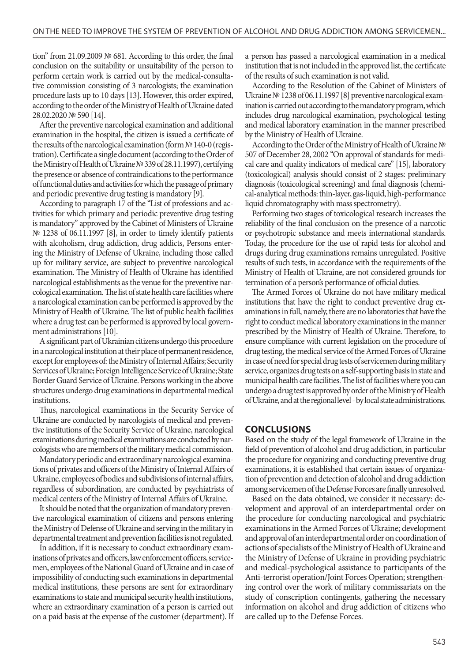tion" from 21.09.2009 № 681. According to this order, the final conclusion on the suitability or unsuitability of the person to perform certain work is carried out by the medical-consultative commission consisting of 3 narcologists; the examination procedure lasts up to 10 days [13]. However, this order expired, according to the order of the Ministry of Health of Ukraine dated 28.02.2020 № 590 [14].

After the preventive narcological examination and additional examination in the hospital, the citizen is issued a certificate of the results of the narcological examination (form № 140-0 (registration). Certificate a single document (according to the Order of the Ministry of Health of Ukraine № 339 of 28.11.1997), certifying the presence or absence of contraindications to the performance of functional duties and activities for which the passage of primary and periodic preventive drug testing is mandatory [9].

According to paragraph 17 of the "List of professions and activities for which primary and periodic preventive drug testing is mandatory" approved by the Cabinet of Ministers of Ukraine № 1238 of 06.11.1997 [8], in order to timely identify patients with alcoholism, drug addiction, drug addicts, Persons entering the Ministry of Defense of Ukraine, including those called up for military service, are subject to preventive narcological examination. The Ministry of Health of Ukraine has identified narcological establishments as the venue for the preventive narcological examination. The list of state health care facilities where a narcological examination can be performed is approved by the Ministry of Health of Ukraine. The list of public health facilities where a drug test can be performed is approved by local government administrations [10].

A significant part of Ukrainian citizens undergo this procedure in a narcological institution at their place of permanent residence, except for employees of: the Ministry of Internal Affairs; Security Services of Ukraine; Foreign Intelligence Service of Ukraine; State Border Guard Service of Ukraine. Persons working in the above structures undergo drug examinations in departmental medical institutions.

Thus, narcological examinations in the Security Service of Ukraine are conducted by narcologists of medical and preventive institutions of the Security Service of Ukraine, narcological examinations during medical examinations are conducted by narcologists who are members of the military medical commission.

Mandatory periodic and extraordinary narcological examinations of privates and officers of the Ministry of Internal Affairs of Ukraine, employees of bodies and subdivisions of internal affairs, regardless of subordination, are conducted by psychiatrists of medical centers of the Ministry of Internal Affairs of Ukraine.

It should be noted that the organization of mandatory preventive narcological examination of citizens and persons entering the Ministry of Defense of Ukraine and serving in the military in departmental treatment and prevention facilities is not regulated.

In addition, if it is necessary to conduct extraordinary examinations of privates and officers, law enforcement officers, servicemen, employees of the National Guard of Ukraine and in case of impossibility of conducting such examinations in departmental medical institutions, these persons are sent for extraordinary examinations to state and municipal security health institutions, where an extraordinary examination of a person is carried out on a paid basis at the expense of the customer (department). If a person has passed a narcological examination in a medical institution that is not included in the approved list, the certificate of the results of such examination is not valid.

According to the Resolution of the Cabinet of Ministers of Ukraine № 1238 of 06.11.1997 [8] preventive narcological examination is carried out according to the mandatory program, which includes drug narcological examination, psychological testing and medical laboratory examination in the manner prescribed by the Ministry of Health of Ukraine.

According to the Order of the Ministry of Health of Ukraine № 507 of December 28, 2002 "On approval of standards for medical care and quality indicators of medical care" [15], laboratory (toxicological) analysis should consist of 2 stages: preliminary diagnosis (toxicological screening) and final diagnosis (chemical-analytical methods: thin-layer, gas-liquid, high-performance liquid chromatography with mass spectrometry).

Performing two stages of toxicological research increases the reliability of the final conclusion on the presence of a narcotic or psychotropic substance and meets international standards. Today, the procedure for the use of rapid tests for alcohol and drugs during drug examinations remains unregulated. Positive results of such tests, in accordance with the requirements of the Ministry of Health of Ukraine, are not considered grounds for termination of a person's performance of official duties.

The Armed Forces of Ukraine do not have military medical institutions that have the right to conduct preventive drug examinations in full, namely, there are no laboratories that have the right to conduct medical laboratory examinations in the manner prescribed by the Ministry of Health of Ukraine. Therefore, to ensure compliance with current legislation on the procedure of drug testing, the medical service of the Armed Forces of Ukraine in case of need for special drug tests of servicemen during military service, organizes drug tests on a self-supporting basis in state and municipal health care facilities. The list of facilities where you can undergo a drug test is approved by order of the Ministry of Health of Ukraine, and at the regional level - by local state administrations.

#### **CONCLUSIONS**

Based on the study of the legal framework of Ukraine in the field of prevention of alcohol and drug addiction, in particular the procedure for organizing and conducting preventive drug examinations, it is established that certain issues of organization of prevention and detection of alcohol and drug addiction among servicemen of the Defense Forces are finally unresolved.

Based on the data obtained, we consider it necessary: development and approval of an interdepartmental order on the procedure for conducting narcological and psychiatric examinations in the Armed Forces of Ukraine; development and approval of an interdepartmental order on coordination of actions of specialists of the Ministry of Health of Ukraine and the Ministry of Defense of Ukraine in providing psychiatric and medical-psychological assistance to participants of the Anti-terrorist operation/Joint Forces Operation; strengthening control over the work of military commissariats on the study of conscription contingents, gathering the necessary information on alcohol and drug addiction of citizens who are called up to the Defense Forces.